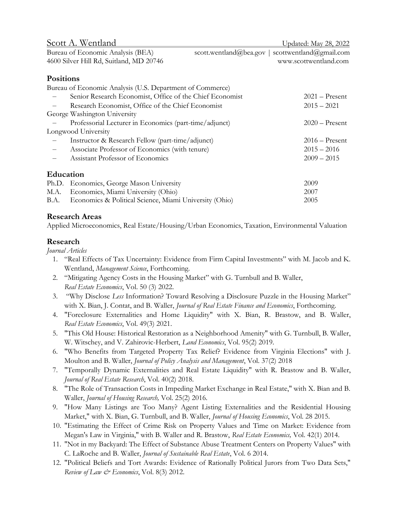| Scott A. Wentland                                         |                        | Updated: May 28, 2022   |
|-----------------------------------------------------------|------------------------|-------------------------|
| Bureau of Economic Analysis (BEA)                         | scott.wentland@bea.gov | scottwentland@gmail.com |
| 4600 Silver Hill Rd, Suitland, MD 20746                   |                        | www.scottwentland.com   |
|                                                           |                        |                         |
| <b>Positions</b>                                          |                        |                         |
| Bureau of Economic Analysis (U.S. Department of Commerce) |                        |                         |
| Senior Research Economist, Office of the Chief Economist  |                        | $2021 -$ Present        |
| Research Economist, Office of the Chief Economist         |                        | $2015 - 2021$           |
| George Washington University                              |                        |                         |
| Professorial Lecturer in Economics (part-time/adjunct)    |                        | $2020$ – Present        |
| Longwood University                                       |                        |                         |

Longwood University – Instructor & Research Fellow (part-time/adjunct) 2016 – Present – Associate Professor of Economics (with tenure) 2015 – 2016 – Assistant Professor of Economics 2009 – 2015 Education

| Ph.D. Economics, George Mason University                    | 2009 |
|-------------------------------------------------------------|------|
| M.A. Economics, Miami University (Ohio)                     | 2007 |
| B.A. Economics & Political Science, Miami University (Ohio) | 2005 |

#### Research Areas

Applied Microeconomics, Real Estate/Housing/Urban Economics, Taxation, Environmental Valuation

### Research

Journal Articles

- 1. "Real Effects of Tax Uncertainty: Evidence from Firm Capital Investments" with M. Jacob and K. Wentland, Management Science, Forthcoming.
- 2. "Mitigating Agency Costs in the Housing Market" with G. Turnbull and B. Waller, Real Estate Economics, Vol. 50 (3) 2022.
- 3. "Why Disclose Less Information? Toward Resolving a Disclosure Puzzle in the Housing Market" with X. Bian, J. Contat, and B. Waller, *Journal of Real Estate Finance and Economics*, Forthcoming.
- 4. "Foreclosure Externalities and Home Liquidity" with X. Bian, R. Brastow, and B. Waller, Real Estate Economics, Vol. 49(3) 2021.
- 5. "This Old House: Historical Restoration as a Neighborhood Amenity" with G. Turnbull, B. Waller, W. Witschey, and V. Zahirovic-Herbert, Land Economics, Vol. 95(2) 2019.
- 6. "Who Benefits from Targeted Property Tax Relief? Evidence from Virginia Elections" with J. Moulton and B. Waller, Journal of Policy Analysis and Management, Vol. 37(2) 2018
- 7. "Temporally Dynamic Externalities and Real Estate Liquidity" with R. Brastow and B. Waller, Journal of Real Estate Research, Vol. 40(2) 2018.
- 8. "The Role of Transaction Costs in Impeding Market Exchange in Real Estate," with X. Bian and B. Waller, Journal of Housing Research, Vol. 25(2) 2016.
- 9. "How Many Listings are Too Many? Agent Listing Externalities and the Residential Housing Market," with X. Bian, G. Turnbull, and B. Waller, *Journal of Housing Economics*, Vol. 28 2015.
- 10. "Estimating the Effect of Crime Risk on Property Values and Time on Market: Evidence from Megan's Law in Virginia," with B. Waller and R. Brastow, Real Estate Economics, Vol. 42(1) 2014.
- 11. "Not in my Backyard: The Effect of Substance Abuse Treatment Centers on Property Values" with C. LaRoche and B. Waller, Journal of Sustainable Real Estate, Vol. 6 2014.
- 12. "Political Beliefs and Tort Awards: Evidence of Rationally Political Jurors from Two Data Sets," Review of Law & Economics, Vol. 8(3) 2012.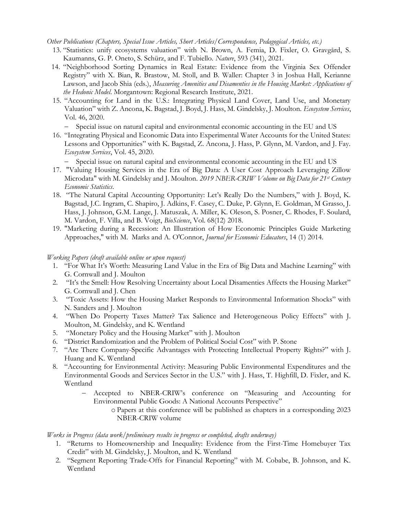Other Publications (Chapters, Special Issue Articles, Short Articles/Correspondence, Pedagogical Articles, etc.)

- 13. "Statistics: unify ecosystems valuation" with N. Brown, A. Femia, D. Fixler, O. Gravgård, S. Kaumanns, G. P. Oneto, S. Schürz, and F. Tubiello. Nature, 593 (341), 2021.
- 14. "Neighborhood Sorting Dynamics in Real Estate: Evidence from the Virginia Sex Offender Registry" with X. Bian, R. Brastow, M. Stoll, and B. Waller: Chapter 3 in Joshua Hall, Kerianne Lawson, and Jacob Shia (eds.), Measuring Amenities and Disamenties in the Housing Market: Applications of the Hedonic Model. Morgantown: Regional Research Institute, 2021.
- 15. "Accounting for Land in the U.S.: Integrating Physical Land Cover, Land Use, and Monetary Valuation" with Z. Ancona, K. Bagstad, J. Boyd, J. Hass, M. Gindelsky, J. Moulton. Ecosystem Services, Vol. 46, 2020.

- Special issue on natural capital and environmental economic accounting in the EU and US

16. "Integrating Physical and Economic Data into Experimental Water Accounts for the United States: Lessons and Opportunities" with K. Bagstad, Z. Ancona, J. Hass, P. Glynn, M. Vardon, and J. Fay. Ecosystem Services, Vol. 45, 2020.

- Special issue on natural capital and environmental economic accounting in the EU and US

- 17. "Valuing Housing Services in the Era of Big Data: A User Cost Approach Leveraging Zillow Microdata" with M. Gindelsky and J. Moulton. 2019 NBER-CRIW Volume on Big Data for 21st Century Economic Statistics.
- 18. "The Natural Capital Accounting Opportunity: Let's Really Do the Numbers," with J. Boyd, K. Bagstad, J.C. Ingram, C. Shapiro, J. Adkins, F. Casey, C. Duke, P. Glynn, E. Goldman, M Grasso, J. Hass, J. Johnson, G.M. Lange, J. Matuszak, A. Miller, K. Oleson, S. Posner, C. Rhodes, F. Soulard, M. Vardon, F. Villa, and B. Voigt, BioScience, Vol. 68(12) 2018.
- 19. "Marketing during a Recession: An Illustration of How Economic Principles Guide Marketing Approaches," with M. Marks and A. O'Connor, Journal for Economic Educators, 14 (1) 2014.

#### Working Papers (draft available online or upon request)

- 1. "For What It's Worth: Measuring Land Value in the Era of Big Data and Machine Learning" with G. Cornwall and J. Moulton
- 2. "It's the Smell: How Resolving Uncertainty about Local Disamenties Affects the Housing Market" G. Cornwall and J. Chen
- 3. "Toxic Assets: How the Housing Market Responds to Environmental Information Shocks" with N. Sanders and J. Moulton
- 4. "When Do Property Taxes Matter? Tax Salience and Heterogeneous Policy Effects" with J. Moulton, M. Gindelsky, and K. Wentland
- 5. "Monetary Policy and the Housing Market" with J. Moulton
- 6. "District Randomization and the Problem of Political Social Cost" with P. Stone
- 7. "Are There Company-Specific Advantages with Protecting Intellectual Property Rights?" with J. Huang and K. Wentland
- 8. "Accounting for Environmental Activity: Measuring Public Environmental Expenditures and the Environmental Goods and Services Sector in the U.S." with J. Hass, T. Highfill, D. Fixler, and K. Wentland
	- Accepted to NBER-CRIW's conference on "Measuring and Accounting for Environmental Public Goods: A National Accounts Perspective"
		- o Papers at this conference will be published as chapters in a corresponding 2023 NBER-CRIW volume

#### Works in Progress (data work/preliminary results in progress or completed, drafts underway)

- 1. "Returns to Homeownership and Inequality: Evidence from the First-Time Homebuyer Tax Credit" with M. Gindelsky, J. Moulton, and K. Wentland
- 2. "Segment Reporting Trade-Offs for Financial Reporting" with M. Cobabe, B. Johnson, and K. Wentland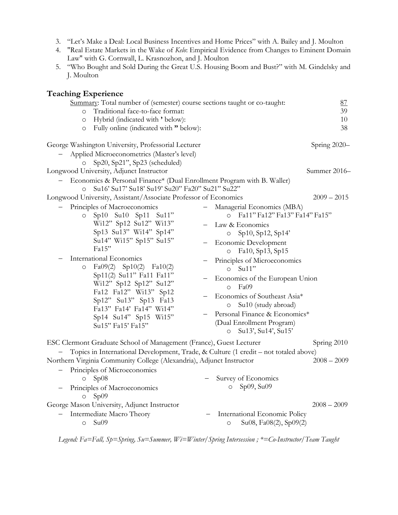- 3. "Let's Make a Deal: Local Business Incentives and Home Prices" with A. Bailey and J. Moulton
- 4. "Real Estate Markets in the Wake of Kelo: Empirical Evidence from Changes to Eminent Domain Law" with G. Cornwall, L. Krasnozhon, and J. Moulton
- 5. "Who Bought and Sold During the Great U.S. Housing Boom and Bust?" with M. Gindelsky and J. Moulton

## Teaching Experience

| Summary: Total number of (semester) course sections taught or co-taught:<br>Traditional face-to-face format:<br>$\circ$<br>Hybrid (indicated with ' below):<br>$\circ$                                                                                                                                                                                                                                                                                                                      | 87<br>39<br>10                                                                                                                                                                                                                                                                                                                                                                                                                                          |
|---------------------------------------------------------------------------------------------------------------------------------------------------------------------------------------------------------------------------------------------------------------------------------------------------------------------------------------------------------------------------------------------------------------------------------------------------------------------------------------------|---------------------------------------------------------------------------------------------------------------------------------------------------------------------------------------------------------------------------------------------------------------------------------------------------------------------------------------------------------------------------------------------------------------------------------------------------------|
| Fully online (indicated with " below):<br>$\circ$<br>George Washington University, Professorial Lecturer<br>Applied Microeconometrics (Master's level)                                                                                                                                                                                                                                                                                                                                      | 38<br>Spring 2020-                                                                                                                                                                                                                                                                                                                                                                                                                                      |
| Sp20, Sp21", Sp23 (scheduled)<br>Longwood University, Adjunct Instructor<br>Economics & Personal Finance* (Dual Enrollment Program with B. Waller)<br>Su16' Su17' Su18' Su19' Su20" Fa20" Su21" Su22"<br>$\circ$                                                                                                                                                                                                                                                                            | Summer 2016-                                                                                                                                                                                                                                                                                                                                                                                                                                            |
| Longwood University, Assistant/Associate Professor of Economics<br>Principles of Macroeconomics<br>$Sp10$ $Su10$ $Sp11$<br>$Su1$ "<br>$\circ$<br>Wi12" Sp12 Su12" Wi13"<br>Sp13 Su13" Wi14" Sp14"<br>Su14" Wi15" Sp15" Su15"<br>Fa15"<br>International Economics<br>$Fa09(2)$ Sp10(2) $Fa10(2)$<br>$\circ$<br>Sp11(2) Su11" Fa11 Fa11"<br>Wi12" Sp12 Sp12" Su12"<br>Fa12 Fa12" Wi13" Sp12<br>Sp12" Su13" Sp13 Fa13<br>Fa13" Fa14' Fa14" Wi14"<br>Sp14 Su14" Sp15 Wi15"<br>Su15" Fa15' Fa15" | $2009 - 2015$<br>Managerial Economics (MBA)<br>Fa11" Fa12" Fa13" Fa14" Fa15"<br>Law & Economics<br>Sp10, Sp12, Sp14'<br>Economic Development<br>Fa10, Sp13, Sp15<br>$\circ$<br>Principles of Microeconomics<br>Su11"<br>$\circ$<br>Economics of the European Union<br>Fa09<br>$\circ$<br>Economics of Southeast Asia*<br>Su10 (study abroad)<br>$\circ$<br>Personal Finance & Economics*<br>(Dual Enrollment Program)<br>Su13', Su14', Su15'<br>$\circ$ |
| ESC Clermont Graduate School of Management (France), Guest Lecturer<br>Topics in International Development, Trade, & Culture (1 credit – not totaled above)<br>Northern Virginia Community College (Alexandria), Adjunct Instructor<br>Principles of Microeconomics<br>$\circ$ Sp08<br>Principles of Macroeconomics<br>Sp09<br>$\circ$<br>George Mason University, Adjunct Instructor<br>Intermediate Macro Theory<br>$\circ$ Su09                                                          | Spring 2010<br>$2008 - 2009$<br>Survey of Economics<br>Sp09, Su09<br>$\circ$<br>$2008 - 2009$<br>International Economic Policy<br>Su08, Fa08(2), Sp09(2)<br>$\circ$                                                                                                                                                                                                                                                                                     |

Legend: Fa=Fall, Sp=Spring, Su=Summer, Wi=Winter/Spring Intersession ; \*=Co-Instructor/Team Taught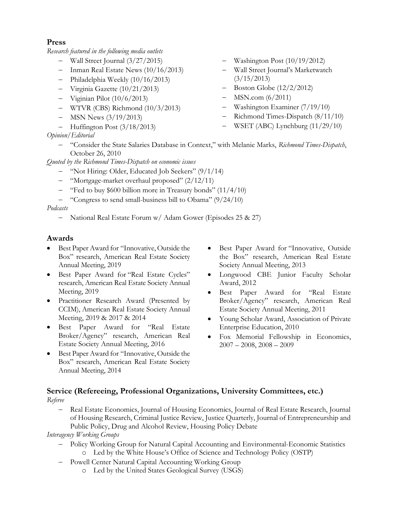# Press

Research featured in the following media outlets

- Wall Street Journal (3/27/2015)
- Inman Real Estate News  $(10/16/2013)$
- Philadelphia Weekly (10/16/2013)
- Virginia Gazette (10/21/2013)
- $-$  Viginian Pilot (10/6/2013)
- WTVR (CBS) Richmond (10/3/2013)
- $-$  MSN News  $(3/19/2013)$
- $-$  Huffington Post  $(3/18/2013)$

# Opinion/Editorial

- "Consider the State Salaries Database in Context," with Melanie Marks, Richmond Times-Dispatch, October 26, 2010

Quoted by the Richmond Times-Dispatch on economic issues

- "Not Hiring: Older, Educated Job Seekers" (9/1/14)
- "Mortgage-market overhaul proposed" (2/12/11)
- "Fed to buy \$600 billion more in Treasury bonds"  $(11/4/10)$
- "Congress to send small-business bill to Obama" (9/24/10)

### Podcasts

National Real Estate Forum w/ Adam Gower (Episodes 25 & 27)

### Awards

- Best Paper Award for "Innovative, Outside the Box" research, American Real Estate Society Annual Meeting, 2019
- Best Paper Award for "Real Estate Cycles" research, American Real Estate Society Annual Meeting, 2019
- Practitioner Research Award (Presented by CCIM), American Real Estate Society Annual Meeting, 2019 & 2017 & 2014
- Best Paper Award for "Real Estate Broker/Agency" research, American Real Estate Society Annual Meeting, 2016
- Best Paper Award for "Innovative, Outside the Box" research, American Real Estate Society Annual Meeting, 2014
- Best Paper Award for "Innovative, Outside the Box" research, American Real Estate Society Annual Meeting, 2013
- Longwood CBE Junior Faculty Scholar Award, 2012
- Best Paper Award for "Real Estate Broker/Agency" research, American Real Estate Society Annual Meeting, 2011
- Young Scholar Award, Association of Private Enterprise Education, 2010
- Fox Memorial Fellowship in Economics,  $2007 - 2008$ ,  $2008 - 2009$

# Service (Refereeing, Professional Organizations, University Committees, etc.)

Referee

 Real Estate Economics, Journal of Housing Economics, Journal of Real Estate Research, Journal of Housing Research, Criminal Justice Review, Justice Quarterly, Journal of Entrepreneurship and Public Policy, Drug and Alcohol Review, Housing Policy Debate

### Interagency Working Groups

- Policy Working Group for Natural Capital Accounting and Environmental-Economic Statistics o Led by the White House's Office of Science and Technology Policy (OSTP)
- Powell Center Natural Capital Accounting Working Group
	- o Led by the United States Geological Survey (USGS)
- Washington Post (10/19/2012)
- Wall Street Journal's Marketwatch  $(3/15/2013)$
- Boston Globe (12/2/2012)
- MSN.com (6/2011)
- Washington Examiner (7/19/10)
- Richmond Times-Dispatch (8/11/10)
- WSET (ABC) Lynchburg (11/29/10)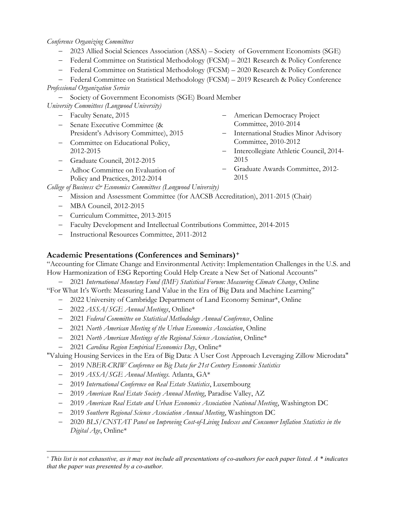#### Conference Organizing Committees

- 2023 Allied Social Sciences Association (ASSA) Society of Government Economists (SGE)
- Federal Committee on Statistical Methodology (FCSM) 2021 Research & Policy Conference
- Federal Committee on Statistical Methodology (FCSM) 2020 Research & Policy Conference

 Federal Committee on Statistical Methodology (FCSM) – 2019 Research & Policy Conference Professional Organization Service

- Society of Government Economists (SGE) Board Member

University Committees (Longwood University)

- Faculty Senate, 2015
- Senate Executive Committee (& President's Advisory Committee), 2015
- Committee on Educational Policy, 2012-2015
- Graduate Council, 2012-2015
- Adhoc Committee on Evaluation of Policy and Practices, 2012-2014
- American Democracy Project Committee, 2010-2014
- International Studies Minor Advisory Committee, 2010-2012
- Intercollegiate Athletic Council, 2014- 2015
- Graduate Awards Committee, 2012- 2015

College of Business & Economics Committees (Longwood University)

- Mission and Assessment Committee (for AACSB Accreditation), 2011-2015 (Chair)
- MBA Council, 2012-2015
- Curriculum Committee, 2013-2015
- Faculty Development and Intellectual Contributions Committee, 2014-2015
- Instructional Resources Committee, 2011-2012

#### Academic Presentations (Conferences and Seminars)<sup>+</sup>

"Accounting for Climate Change and Environmental Activity: Implementation Challenges in the U.S. and How Harmonization of ESG Reporting Could Help Create a New Set of National Accounts"

- 2021 International Monetary Fund (IMF) Statistical Forum: Measuring Climate Change, Online

"For What It's Worth: Measuring Land Value in the Era of Big Data and Machine Learning"

- 2022 University of Cambridge Department of Land Economy Seminar\*, Online
- 2022 ASSA/SGE Annual Meetings, Online\*
- 2021 Federal Committee on Statistical Methodology Annual Conference, Online
- 2021 North American Meeting of the Urban Economics Association, Online
- 2021 North American Meetings of the Regional Science Association, Online<sup>\*</sup>
- 2021 Carolina Region Empirical Economics Day, Online\*

"Valuing Housing Services in the Era of Big Data: A User Cost Approach Leveraging Zillow Microdata"

- 2019 NBER-CRIW Conference on Big Data for 21st Century Economic Statistics
- 2019 ASSA/SGE Annual Meetings. Atlanta, GA\*

 $\overline{a}$ 

- 2019 International Conference on Real Estate Statistics, Luxembourg
- 2019 American Real Estate Society Annual Meeting, Paradise Valley, AZ
- <sup>-</sup> 2019 *American Real Estate and Urban Economics Association National Meeting*, Washington DC
- 2019 Southern Regional Science Association Annual Meeting, Washington DC
- 2020 BLS/CNSTAT Panel on Improving Cost-of-Living Indexes and Consumer Inflation Statistics in the Digital Age, Online\*

 $^+$  This list is not exhaustive, as it may not include all presentations of co-authors for each paper listed. A  $*$  indicates that the paper was presented by a co-author.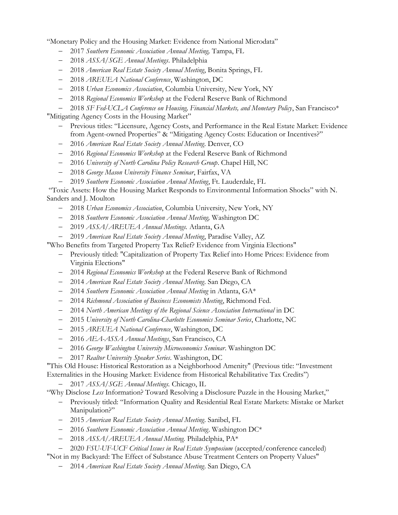"Monetary Policy and the Housing Market: Evidence from National Microdata"

- 2017 Southern Economic Association Annual Meeting, Tampa, FL
- 2018 ASSA/SGE Annual Meetings. Philadelphia
- 2018 American Real Estate Society Annual Meeting, Bonita Springs, FL
- 2018 AREUEA National Conference, Washington, DC
- 2018 Urban Economics Association, Columbia University, New York, NY
- 2018 Regional Economics Workshop at the Federal Reserve Bank of Richmond
- $-$  2018 SF Fed-UCLA Conference on Housing, Financial Markets, and Monetary Policy, San Francisco<sup>\*</sup>

"Mitigating Agency Costs in the Housing Market"

- Previous titles: "Licensure, Agency Costs, and Performance in the Real Estate Market: Evidence from Agent-owned Properties" & "Mitigating Agency Costs: Education or Incentives?"
- 2016 American Real Estate Society Annual Meeting. Denver, CO
- 2016 Regional Economics Workshop at the Federal Reserve Bank of Richmond
- 2016 University of North Carolina Policy Research Group. Chapel Hill, NC
- 2018 George Mason University Finance Seminar, Fairfax, VA
- 2019 Southern Economic Association Annual Meeting, Ft. Lauderdale, FL

 "Toxic Assets: How the Housing Market Responds to Environmental Information Shocks" with N. Sanders and J. Moulton

- 2018 Urban Economics Association, Columbia University, New York, NY
- 2018 Southern Economic Association Annual Meeting, Washington DC
- 2019 ASSA/AREUEA Annual Meetings. Atlanta, GA
- 2019 American Real Estate Society Annual Meeting, Paradise Valley, AZ

"Who Benefits from Targeted Property Tax Relief? Evidence from Virginia Elections"

- Previously titled: "Capitalization of Property Tax Relief into Home Prices: Evidence from Virginia Elections"
- 2014 Regional Economics Workshop at the Federal Reserve Bank of Richmond
- 2014 American Real Estate Society Annual Meeting. San Diego, CA
- $-$  2014 Southern Economic Association Annual Meeting in Atlanta,  $GA*$
- 2014 Richmond Association of Business Economists Meeting, Richmond Fed.
- 2014 North American Meetings of the Regional Science Association International in DC
- 2015 University of North Carolina-Charlotte Economics Seminar Series, Charlotte, NC
- 2015 AREUEA National Conference, Washington, DC
- 2016 AEA-ASSA Annual Meetings, San Francisco, CA
- 2016 George Washington University Microeconomics Seminar. Washington DC
- 2017 Realtor University Speaker Series. Washington, DC

"This Old House: Historical Restoration as a Neighborhood Amenity" (Previous title: "Investment Externalities in the Housing Market: Evidence from Historical Rehabilitative Tax Credits")

- 2017 ASSA/SGE Annual Meetings. Chicago, IL

"Why Disclose Less Information? Toward Resolving a Disclosure Puzzle in the Housing Market,"

- Previously titled: "Information Quality and Residential Real Estate Markets: Mistake or Market Manipulation?"
- 2015 American Real Estate Society Annual Meeting. Sanibel, FL
- 2016 Southern Economic Association Annual Meeting. Washington DC\*
- 2018 ASSA/AREUEA Annual Meeting. Philadelphia, PA\*
- 2020 FSU-UF-UCF Critical Issues in Real Estate Symposium (accepted/conference canceled)
- "Not in my Backyard: The Effect of Substance Abuse Treatment Centers on Property Values"
	- 2014 American Real Estate Society Annual Meeting. San Diego, CA